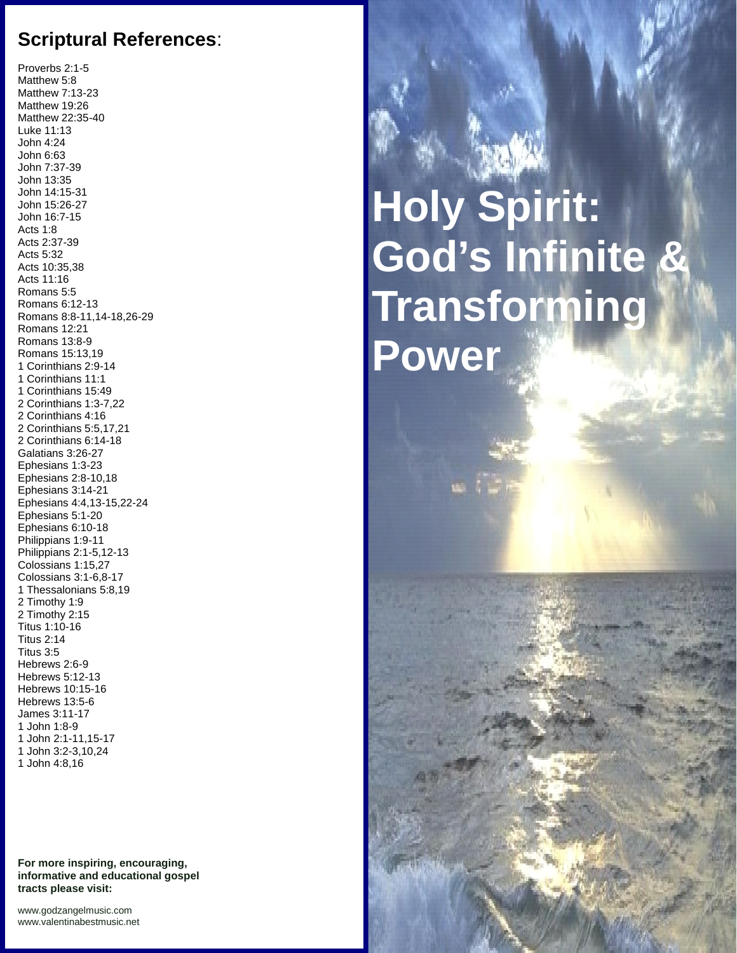## **Scriptural References**:

Proverbs 2:1-5 Matthew 5:8 Matthew 7:13-23 Matthew 19:26 Matthew 22:35-40 Luke 11:13 John 4:24 John 6:63 John 7:37-39 John 13:35 John 14:15-31 John 15:26-27 John 16:7-15 Acts 1:8 Acts 2:37-39 Acts 5:32 Acts 10:35,38 Acts 11:16 Romans 5:5 Romans 6:12-13 Romans 8:8-11,14-18,26-29 Romans 12:21 Romans 13:8-9 Romans 15:13,19 1 Corinthians 2:9-14 1 Corinthians 11:1 1 Corinthians 15:49 2 Corinthians 1:3-7,22 2 Corinthians 4:16 2 Corinthians 5:5,17,21 2 Corinthians 6:14-18 Galatians 3:26-27 Ephesians 1:3-23 Ephesians 2:8-10,18 Ephesians 3:14-21 Ephesians 4:4,13-15,22-24 Ephesians 5:1-20 Ephesians 6:10-18 Philippians 1:9-11 Philippians 2:1-5,12-13 Colossians 1:15,27 Colossians 3:1-6,8-17 1 Thessalonians 5:8,19 2 Timothy 1:9 2 Timothy 2:15 Titus 1:10-16 Titus 2:14 Titus 3:5 Hebrews 2:6-9 Hebrews 5:12-13 Hebrews 10:15-16 Hebrews 13:5-6 James 3:11-17 1 John 1:8-9 1 John 2:1-11,15-17 1 John 3:2-3,10,24 1 John 4:8,16

**For more inspiring, encouraging, informative and educational gospel tracts please visit:**

**Holy Spirit: God's Infinite & Transforming Power**